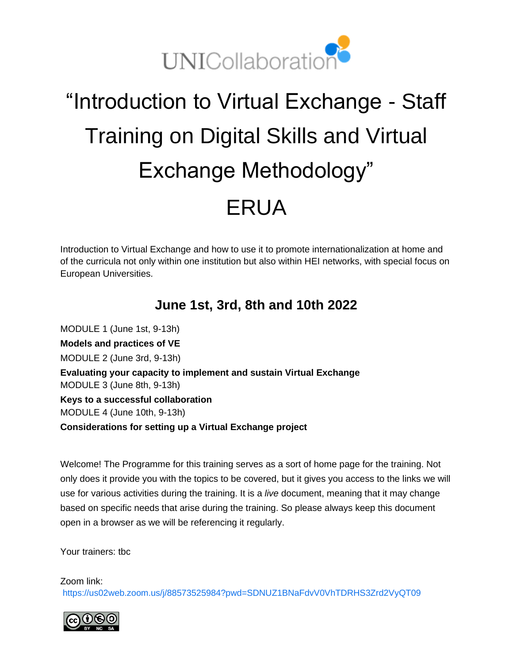

# "Introduction to Virtual Exchange - Staff Training on Digital Skills and Virtual Exchange Methodology" ERUA

Introduction to Virtual Exchange and how to use it to promote internationalization at home and of the curricula not only within one institution but also within HEI networks, with special focus on European Universities.

## **June 1st, 3rd, 8th and 10th 2022**

MODULE 1 (June 1st, 9-13h) **Models and practices of VE** MODULE 2 (June 3rd, 9-13h) **Evaluating your capacity to implement and sustain Virtual Exchange** MODULE 3 (June 8th, 9-13h) **Keys to a successful collaboration** MODULE 4 (June 10th, 9-13h) **Considerations for setting up a Virtual Exchange project**

Welcome! The Programme for this training serves as a sort of home page for the training. Not only does it provide you with the topics to be covered, but it gives you access to the links we will use for various activities during the training. It is a *live* document, meaning that it may change based on specific needs that arise during the training. So please always keep this document open in a browser as we will be referencing it regularly.

Your trainers: tbc

Zoom link: <https://us02web.zoom.us/j/88573525984?pwd=SDNUZ1BNaFdvV0VhTDRHS3Zrd2VyQT09>

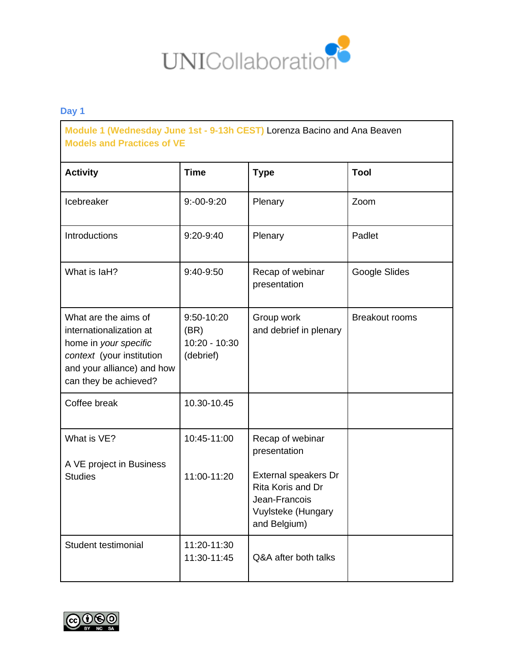

**Module 1 (Wednesday June 1st - 9-13h CEST)** Lorenza Bacino and Ana Beaven **Models and Practices of VE**

| <b>Activity</b>                                                                                                                                              | <b>Time</b>                                      | <b>Type</b>                                                                                                                          | <b>Tool</b>           |
|--------------------------------------------------------------------------------------------------------------------------------------------------------------|--------------------------------------------------|--------------------------------------------------------------------------------------------------------------------------------------|-----------------------|
| Icebreaker                                                                                                                                                   | $9: -00 - 9:20$                                  | Plenary                                                                                                                              | Zoom                  |
| Introductions                                                                                                                                                | $9:20-9:40$                                      | Plenary                                                                                                                              | Padlet                |
| What is laH?                                                                                                                                                 | 9:40-9:50                                        | Recap of webinar<br>presentation                                                                                                     | Google Slides         |
| What are the aims of<br>internationalization at<br>home in your specific<br>context (your institution<br>and your alliance) and how<br>can they be achieved? | 9:50-10:20<br>(BR)<br>10:20 - 10:30<br>(debrief) | Group work<br>and debrief in plenary                                                                                                 | <b>Breakout rooms</b> |
| Coffee break                                                                                                                                                 | 10.30-10.45                                      |                                                                                                                                      |                       |
| What is VE?<br>A VE project in Business<br><b>Studies</b>                                                                                                    | 10:45-11:00<br>11:00-11:20                       | Recap of webinar<br>presentation<br>External speakers Dr<br>Rita Koris and Dr<br>Jean-Francois<br>Vuylsteke (Hungary<br>and Belgium) |                       |
| Student testimonial                                                                                                                                          | 11:20-11:30<br>11:30-11:45                       | Q&A after both talks                                                                                                                 |                       |

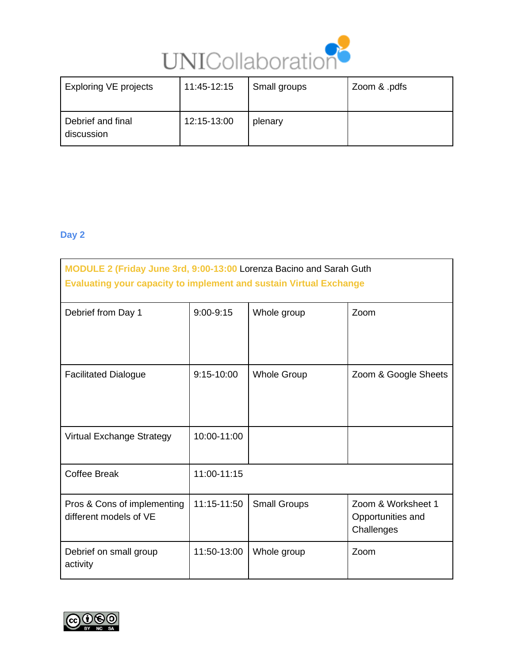

| <b>Exploring VE projects</b>    | 11:45-12:15 | Small groups | Zoom & .pdfs |
|---------------------------------|-------------|--------------|--------------|
| Debrief and final<br>discussion | 12:15-13:00 | plenary      |              |

| MODULE 2 (Friday June 3rd, 9:00-13:00 Lorenza Bacino and Sarah Guth<br><b>Evaluating your capacity to implement and sustain Virtual Exchange</b> |             |                     |                                                       |
|--------------------------------------------------------------------------------------------------------------------------------------------------|-------------|---------------------|-------------------------------------------------------|
| Debrief from Day 1                                                                                                                               | 9:00-9:15   | Whole group         | Zoom                                                  |
| <b>Facilitated Dialogue</b>                                                                                                                      | 9:15-10:00  | <b>Whole Group</b>  | Zoom & Google Sheets                                  |
| Virtual Exchange Strategy                                                                                                                        | 10:00-11:00 |                     |                                                       |
| <b>Coffee Break</b>                                                                                                                              | 11:00-11:15 |                     |                                                       |
| Pros & Cons of implementing<br>different models of VE                                                                                            | 11:15-11:50 | <b>Small Groups</b> | Zoom & Worksheet 1<br>Opportunities and<br>Challenges |
| Debrief on small group<br>activity                                                                                                               | 11:50-13:00 | Whole group         | Zoom                                                  |

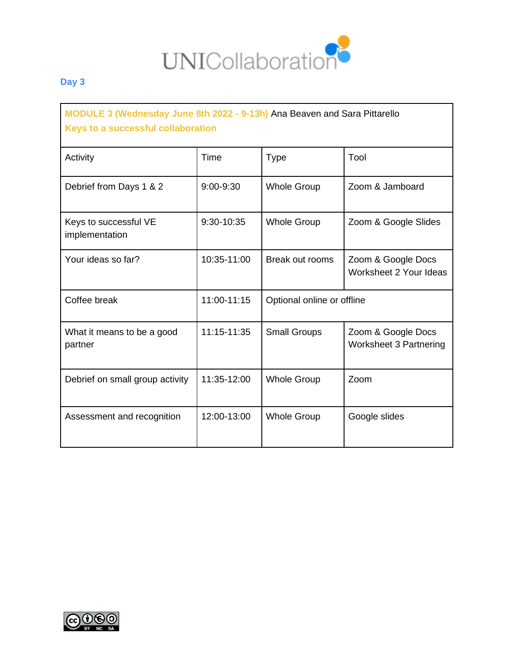

**MODULE 3 (Wednesday June 8th 2022 - 9-13h)** Ana Beaven and Sara Pittarello **Keys to a successful collaboration**

| Activity                                | Time          | <b>Type</b>                | Tool                                                |
|-----------------------------------------|---------------|----------------------------|-----------------------------------------------------|
| Debrief from Days 1 & 2                 | $9:00 - 9:30$ | <b>Whole Group</b>         | Zoom & Jamboard                                     |
| Keys to successful VE<br>implementation | 9:30-10:35    | <b>Whole Group</b>         | Zoom & Google Slides                                |
| Your ideas so far?                      | 10:35-11:00   | Break out rooms            | Zoom & Google Docs<br>Worksheet 2 Your Ideas        |
| Coffee break                            | 11:00-11:15   | Optional online or offline |                                                     |
| What it means to be a good<br>partner   | 11:15-11:35   | <b>Small Groups</b>        | Zoom & Google Docs<br><b>Worksheet 3 Partnering</b> |
| Debrief on small group activity         | 11:35-12:00   | <b>Whole Group</b>         | Zoom                                                |
| Assessment and recognition              | 12:00-13:00   | <b>Whole Group</b>         | Google slides                                       |

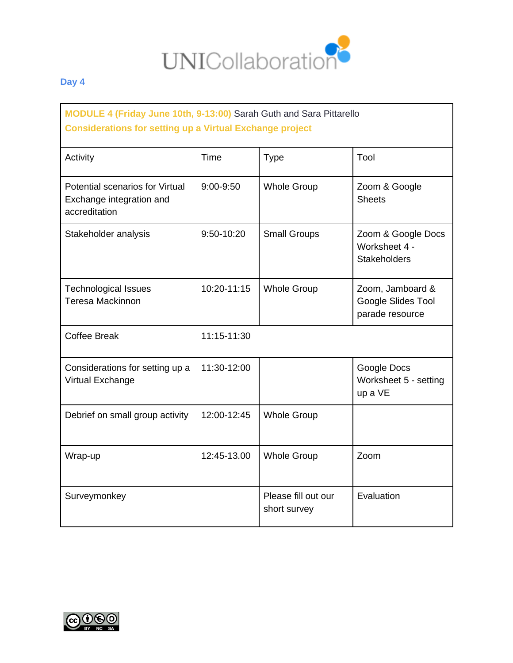

### **MODULE 4 (Friday June 10th, 9-13:00)** Sarah Guth and Sara Pittarello **Considerations for setting up a Virtual Exchange project**

| Activity                                                                     | Time        | <b>Type</b>                         | Tool                                                       |
|------------------------------------------------------------------------------|-------------|-------------------------------------|------------------------------------------------------------|
| Potential scenarios for Virtual<br>Exchange integration and<br>accreditation | 9:00-9:50   | <b>Whole Group</b>                  | Zoom & Google<br><b>Sheets</b>                             |
| Stakeholder analysis                                                         | 9:50-10:20  | <b>Small Groups</b>                 | Zoom & Google Docs<br>Worksheet 4 -<br><b>Stakeholders</b> |
| <b>Technological Issues</b><br><b>Teresa Mackinnon</b>                       | 10:20-11:15 | <b>Whole Group</b>                  | Zoom, Jamboard &<br>Google Slides Tool<br>parade resource  |
| <b>Coffee Break</b>                                                          | 11:15-11:30 |                                     |                                                            |
| Considerations for setting up a<br>Virtual Exchange                          | 11:30-12:00 |                                     | Google Docs<br>Worksheet 5 - setting<br>up a VE            |
| Debrief on small group activity                                              | 12:00-12:45 | <b>Whole Group</b>                  |                                                            |
| Wrap-up                                                                      | 12:45-13.00 | <b>Whole Group</b>                  | Zoom                                                       |
| Surveymonkey                                                                 |             | Please fill out our<br>short survey | Evaluation                                                 |